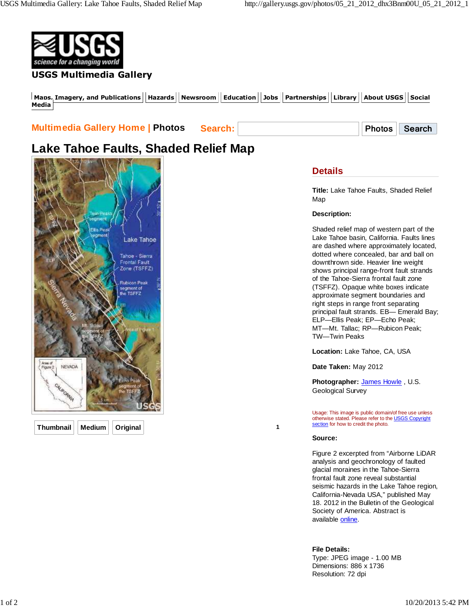

#### USGS Multimedia Gallery

 $\vert$  Maps. Imagery, and Publications  $\vert\vert$  Hazards  $\vert\vert$  Newsroom  $\vert\vert$  Education  $\vert\vert$  Jobs  $\vert\vert$  Partnerships  $\vert\vert$  Library  $\vert\vert$  About USGS  $\vert\vert$  Social Media

## **Multimedia Gallery Home | Photos**

| <b>Search:</b><br>$  $ Photos $  $ Search |  |
|-------------------------------------------|--|
|-------------------------------------------|--|

# **Lake Tahoe Faults, Shaded Relief Map**



## **Details**

**Title:** Lake Tahoe Faults, Shaded Relief Map

#### **Description:**

Shaded relief map of western part of the Lake Tahoe basin, California. Faults lines are dashed where approximately located, dotted where concealed, bar and ball on downthrown side. Heavier line weight shows principal range-front fault strands of the Tahoe-Sierra frontal fault zone (TSFFZ). Opaque white boxes indicate approximate segment boundaries and right steps in range front separating principal fault strands. EB— Emerald Bay; ELP—Ellis Peak; EP—Echo Peak; MT—Mt. Tallac; RP—Rubicon Peak; TW—Twin Peaks

**Location:** Lake Tahoe, CA, USA

**Date Taken:** May 2012

**Photographer:** James Howle , U.S. Geological Survey

Usage: This image is public domain/of free use unless otherwise stated. Please refer to the USGS Copyright section for how to credit the photo.

#### **Source:**

**1**

Figure 2 excerpted from "Airborne LiDAR analysis and geochronology of faulted glacial moraines in the Tahoe-Sierra frontal fault zone reveal substantial seismic hazards in the Lake Tahoe region, California-Nevada USA," published May 18. 2012 in the Bulletin of the Geological Society of America. Abstract is available online.

**File Details:** Type: JPEG image - 1.00 MB Dimensions: 886 x 1736 Resolution: 72 dpi